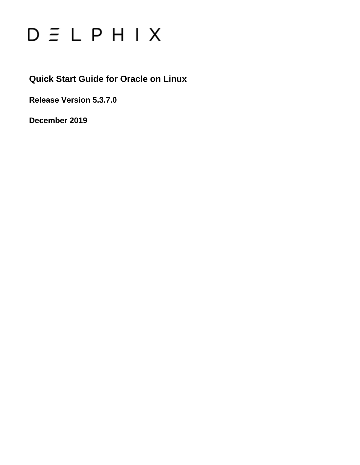

**Quick Start Guide for Oracle on Linux**

**Release Version 5.3.7.0**

**December 2019**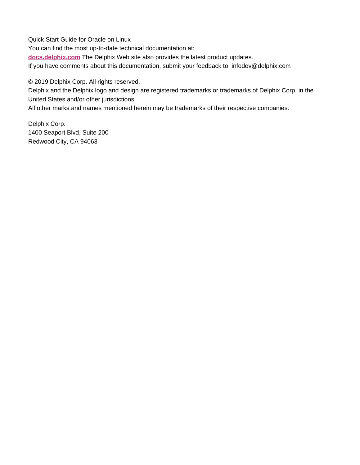Quick Start Guide for Oracle on Linux

You can find the most up-to-date technical documentation at:

**[docs.delphix.com](http://docs.delphix.com)** The Delphix Web site also provides the latest product updates.

If you have comments about this documentation, submit your feedback to: infodev@delphix.com

© 2019 Delphix Corp. All rights reserved.

Delphix and the Delphix logo and design are registered trademarks or trademarks of Delphix Corp. in the United States and/or other jurisdictions.

All other marks and names mentioned herein may be trademarks of their respective companies.

Delphix Corp. 1400 Seaport Blvd, Suite 200 Redwood City, CA 94063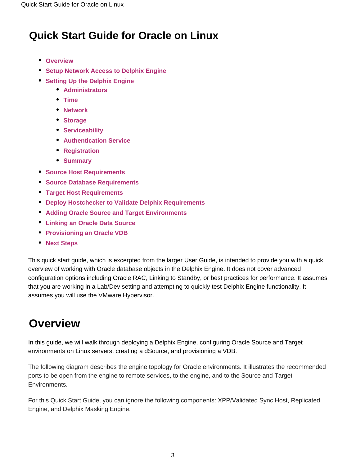## **Quick Start Guide for Oracle on Linux**

- **[Overview](#page-2-0)**
- **[Setup Network Access to Delphix Engine](#page-4-0)**
- **[Setting Up the Delphix Engine](#page-6-0)** 
	- **[Administrators](#page-7-0)**
	- **[Time](#page-7-1)**
	- **[Network](#page-8-0)**
	- **[Storage](#page-8-1)**
	- **[Serviceability](#page-8-2)**
	- **[Authentication Service](#page-8-3)**
	- **[Registration](#page-8-4)**
	- **[Summary](#page-9-0)**
- **[Source Host Requirements](#page-9-1)**
- **[Source Database Requirements](#page-11-0)**
- **[Target Host Requirements](#page-13-0)**
- **[Deploy Hostchecker to Validate Delphix Requirements](#page-15-0)**
- **[Adding Oracle Source and Target Environments](#page-16-0)**
- **[Linking an Oracle Data Source](#page-17-0)**
- **[Provisioning an Oracle VDB](#page-18-0)**
- **[Next Steps](#page-21-0)**

This quick start guide, which is excerpted from the larger User Guide, is intended to provide you with a quick overview of working with Oracle database objects in the Delphix Engine. It does not cover advanced configuration options including Oracle RAC, Linking to Standby, or best practices for performance. It assumes that you are working in a Lab/Dev setting and attempting to quickly test Delphix Engine functionality. It assumes you will use the VMware Hypervisor.

## <span id="page-2-0"></span>**Overview**

In this guide, we will walk through deploying a Delphix Engine, configuring Oracle Source and Target environments on Linux servers, creating a dSource, and provisioning a VDB.

The following diagram describes the engine topology for Oracle environments. It illustrates the recommended ports to be open from the engine to remote services, to the engine, and to the Source and Target Environments.

For this Quick Start Guide, you can ignore the following components: XPP/Validated Sync Host, Replicated Engine, and Delphix Masking Engine.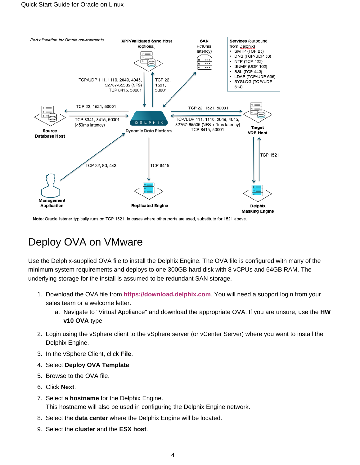

Note: Oracle listener typically runs on TCP 1521. In cases where other ports are used, substitute for 1521 above.

## Deploy OVA on VMware

Use the Delphix-supplied OVA file to install the Delphix Engine. The OVA file is configured with many of the minimum system requirements and deploys to one 300GB hard disk with 8 vCPUs and 64GB RAM. The underlying storage for the install is assumed to be redundant SAN storage.

- 1. Download the OVA file from **<https://download.delphix.com>**. You will need a support login from your sales team or a welcome letter.
	- a. Navigate to "Virtual Appliance" and download the appropriate OVA. If you are unsure, use the **HW v10 OVA** type.
- 2. Login using the vSphere client to the vSphere server (or vCenter Server) where you want to install the Delphix Engine.
- 3. In the vSphere Client, click **File**.
- 4. Select **Deploy OVA Template**.
- 5. Browse to the OVA file.
- 6. Click **Next**.
- 7. Select a **hostname** for the Delphix Engine. This hostname will also be used in configuring the Delphix Engine network.
- 8. Select the **data center** where the Delphix Engine will be located.
- 9. Select the **cluster** and the **ESX host**.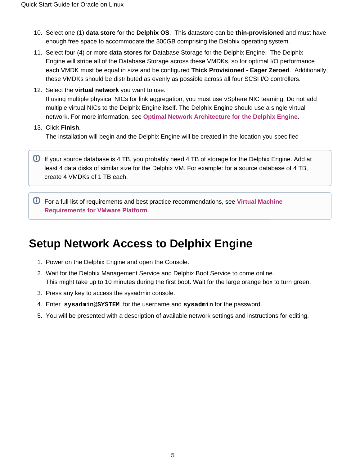- 10. Select one (1) **data store** for the **Delphix OS**. This datastore can be **thin-provisioned** and must have enough free space to accommodate the 300GB comprising the Delphix operating system.
- 11. Select four (4) or more **data stores** for Database Storage for the Delphix Engine. The Delphix Engine will stripe all of the Database Storage across these VMDKs, so for optimal I/O performance each VMDK must be equal in size and be configured **Thick Provisioned - Eager Zeroed**. Additionally, these VMDKs should be distributed as evenly as possible across all four SCSI I/O controllers.
- 12. Select the **virtual network** you want to use. If using multiple physical NICs for link aggregation, you must use vSphere NIC teaming. Do not add multiple virtual NICs to the Delphix Engine itself. The Delphix Engine should use a single virtual network. For more information, see **[Optimal Network Architecture for the Delphix Engine](https://docs.delphix.com/display/DOCS537/Optimal+Network+Architecture+for+the+Delphix+Engine)**.
- 13. Click **Finish**. The installation will begin and the Delphix Engine will be created in the location you specified

**If your source database is 4 TB, you probably need 4 TB of storage for the Delphix Engine. Add at** least 4 data disks of similar size for the Delphix VM. For example: for a source database of 4 TB, create 4 VMDKs of 1 TB each.

For a full list of requirements and best practice recommendations, see **[Virtual Machine](https://docs.delphix.com/display/DOCS537/Virtual+Machine+Requirements+for+VMware+Platform)  [Requirements for VMware Platform](https://docs.delphix.com/display/DOCS537/Virtual+Machine+Requirements+for+VMware+Platform)**.

## <span id="page-4-0"></span>**Setup Network Access to Delphix Engine**

- 1. Power on the Delphix Engine and open the Console.
- 2. Wait for the Delphix Management Service and Delphix Boot Service to come online. This might take up to 10 minutes during the first boot. Wait for the large orange box to turn green.
- 3. Press any key to access the sysadmin console.
- 4. Enter **sysadmin@SYSTEM** for the username and **sysadmin** for the password.
- 5. You will be presented with a description of available network settings and instructions for editing.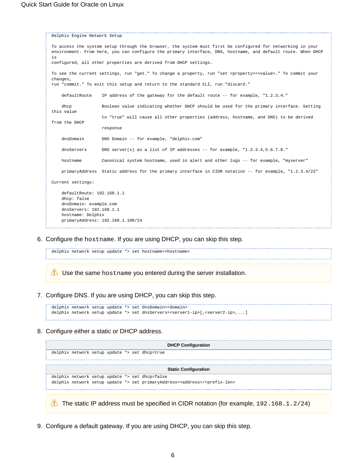```
Delphix Engine Network Setup
To access the system setup through the browser, the system must first be configured for networking in your
environment. From here, you can configure the primary interface, DNS, hostname, and default route. When DHCP 
is
configured, all other properties are derived from DHCP settings.
To see the current settings, run "get." To change a property, run "set <property>=<value>." To commit your 
changes,
run "commit." To exit this setup and return to the standard CLI, run "discard."
     defaultRoute IP address of the gateway for the default route -- for example, "1.2.3.4."
     dhcp Boolean value indicating whether DHCP should be used for the primary interface. Setting 
this value
                     to "true" will cause all other properties (address, hostname, and DNS) to be derived 
from the DHCP
                    response
     dnsDomain DNS Domain -- for example, "delphix.com"
    dnsServers DNS server(s) as a list of IP addresses -- for example, "1.2.3.4,5.6.7.8."
     hostname Canonical system hostname, used in alert and other logs -- for example, "myserver"
     primaryAddress Static address for the primary interface in CIDR notation -- for example, "1.2.3.4/22"
Current settings:
     defaultRoute: 192.168.1.1
     dhcp: false
     dnsDomain: example.com
    dnsServers: 192.168.1.1
    hostname: Delphix
     primaryAddress: 192.168.1.100/24
```
6. Configure the hostname. If you are using DHCP, you can skip this step.

delphix network setup update \*> set hostname=<hostname>

Use the same hostname you entered during the server installation.

7. Configure DNS. If you are using DHCP, you can skip this step.

```
delphix network setup update *> set dnsDomain=<domain>
delphix network setup update *> set dnsServers=<server1-ip>[,<server2-ip>,...]
```
8. Configure either a static or DHCP address.

| <b>DHCP Configuration</b>                                                                         |  |  |  |  |  |  |  |  |
|---------------------------------------------------------------------------------------------------|--|--|--|--|--|--|--|--|
| delphix network setup update *> set dhcp=true                                                     |  |  |  |  |  |  |  |  |
|                                                                                                   |  |  |  |  |  |  |  |  |
| <b>Static Configuration</b>                                                                       |  |  |  |  |  |  |  |  |
| delphix network setup update *> set dhcp=false                                                    |  |  |  |  |  |  |  |  |
| delphix network setup update *> set primaryAddress= <address>/<prefix-len></prefix-len></address> |  |  |  |  |  |  |  |  |
|                                                                                                   |  |  |  |  |  |  |  |  |
| The static IP address must be specified in CIDR notation (for example, $192.168.1.2/24$ )         |  |  |  |  |  |  |  |  |

9. Configure a default gateway. If you are using DHCP, you can skip this step.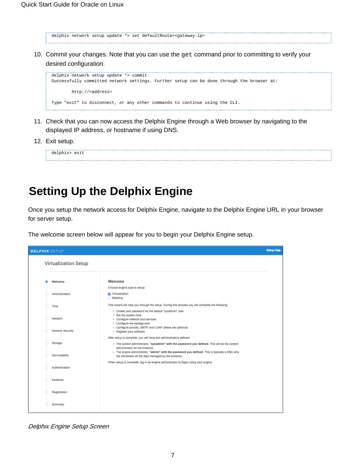delphix network setup update \*> set defaultRoute=<gateway-ip> 

10. Commit your changes. Note that you can use the get command prior to committing to verify your desired configuration.

```
delphix network setup update *> commit
Successfully committed network settings. Further setup can be done through the browser at:
        http://<address>
Type "exit" to disconnect, or any other commands to continue using the CLI.
```
- 11. Check that you can now access the Delphix Engine through a Web browser by navigating to the displayed IP address, or hostname if using DNS.
- 12. Exit setup.

```
delphix> exit
```
## <span id="page-6-0"></span>**Setting Up the Delphix Engine**

Once you setup the network access for Delphix Engine, navigate to the Delphix Engine URL in your browser for server setup.

The welcome screen below will appear for you to begin your Delphix Engine setup.



Delphix Engine Setup Screen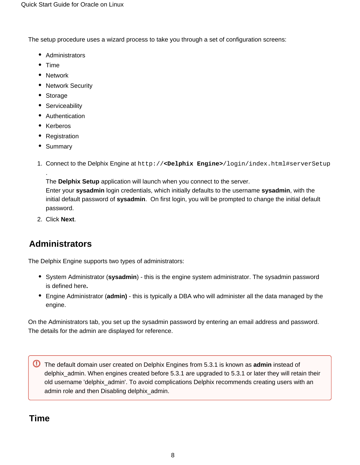The setup procedure uses a wizard process to take you through a set of configuration screens:

- Administrators
- $•$  Time
- Network
- Network Security
- Storage
- Serviceability
- Authentication
- Kerberos
- Registration
- Summary

.

1. Connect to the Delphix Engine at http://**<Delphix Engine>**/login/index.html#serverSetup

The **Delphix Setup** application will launch when you connect to the server. Enter your **sysadmin** login credentials, which initially defaults to the username **sysadmin**, with the initial default password of **sysadmin**. On first login, you will be prompted to change the initial default

2. Click **Next**.

password.

### <span id="page-7-0"></span>**Administrators**

The Delphix Engine supports two types of administrators:

- System Administrator (**sysadmin**) this is the engine system administrator. The sysadmin password is defined here**.**
- Engine Administrator (**admin)**  this is typically a DBA who will administer all the data managed by the engine.

On the Administrators tab, you set up the sysadmin password by entering an email address and password. The details for the admin are displayed for reference.

The default domain user created on Delphix Engines from 5.3.1 is known as **admin** instead of delphix\_admin. When engines created before 5.3.1 are upgraded to 5.3.1 or later they will retain their old username 'delphix\_admin'. To avoid complications Delphix recommends creating users with an admin role and then Disabling delphix\_admin.

### <span id="page-7-1"></span>**Time**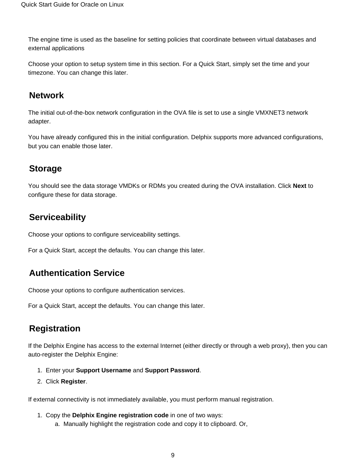The engine time is used as the baseline for setting policies that coordinate between virtual databases and external applications

Choose your option to setup system time in this section. For a Quick Start, simply set the time and your timezone. You can change this later.

### <span id="page-8-0"></span>**Network**

The initial out-of-the-box network configuration in the OVA file is set to use a single VMXNET3 network adapter.

You have already configured this in the initial configuration. Delphix supports more advanced configurations, but you can enable those later.

### <span id="page-8-1"></span>**Storage**

You should see the data storage VMDKs or RDMs you created during the OVA installation. Click **Next** to configure these for data storage.

### <span id="page-8-2"></span>**Serviceability**

Choose your options to configure serviceability settings.

For a Quick Start, accept the defaults. You can change this later.

### <span id="page-8-3"></span>**Authentication Service**

Choose your options to configure authentication services.

For a Quick Start, accept the defaults. You can change this later.

### <span id="page-8-4"></span>**Registration**

If the Delphix Engine has access to the external Internet (either directly or through a web proxy), then you can auto-register the Delphix Engine:

- 1. Enter your **Support Username** and **Support Password**.
- 2. Click **Register**.

If external connectivity is not immediately available, you must perform manual registration.

- 1. Copy the **Delphix Engine registration code** in one of two ways:
	- a. Manually highlight the registration code and copy it to clipboard. Or,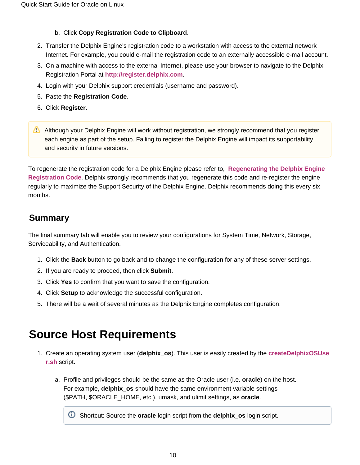#### b. Click **Copy Registration Code to Clipboard**.

- 2. Transfer the Delphix Engine's registration code to a workstation with access to the external network Internet. For example, you could e-mail the registration code to an externally accessible e-mail account.
- 3. On a machine with access to the external Internet, please use your browser to navigate to the Delphix Registration Portal at **[http://register.delphix.com](http://register.delphix.com/)**.
- 4. Login with your Delphix support credentials (username and password).
- 5. Paste the **Registration Code**.
- 6. Click **Register**.
- Although your Delphix Engine will work without registration, we strongly recommend that you register each engine as part of the setup. Failing to register the Delphix Engine will impact its supportability and security in future versions.

To regenerate the registration code for a Delphix Engine please refer to, **[Regenerating the Delphix Engine](https://docs.delphix.com/display/DOCS537/Regenerating+the+Delphix+Engine+Registration+Code)  [Registration Code](https://docs.delphix.com/display/DOCS537/Regenerating+the+Delphix+Engine+Registration+Code)**. Delphix strongly recommends that you regenerate this code and re-register the engine regularly to maximize the Support Security of the Delphix Engine. Delphix recommends doing this every six months.

### <span id="page-9-0"></span>**Summary**

The final summary tab will enable you to review your configurations for System Time, Network, Storage, Serviceability, and Authentication.

- 1. Click the **Back** button to go back and to change the configuration for any of these server settings.
- 2. If you are ready to proceed, then click **Submit**.
- 3. Click **Yes** to confirm that you want to save the configuration.
- 4. Click **Setup** to acknowledge the successful configuration.
- 5. There will be a wait of several minutes as the Delphix Engine completes configuration.

### <span id="page-9-1"></span>**Source Host Requirements**

- 1. Create an operating system user (**delphix\_os**). This user is easily created by the **[createDelphixOSUse](https://docs.delphix.com/download/attachments/120930377/createDelphixOSUser.sh?version=1&modificationDate=1548354966461&api=v2) [r.sh](https://docs.delphix.com/download/attachments/120930377/createDelphixOSUser.sh?version=1&modificationDate=1548354966461&api=v2)** script.
	- a. Profile and privileges should be the same as the Oracle user (i.e. **oracle**) on the host. For example, **delphix\_os** should have the same environment variable settings (\$PATH, \$ORACLE\_HOME, etc.), umask, and ulimit settings, as **oracle**.

Shortcut: Source the **oracle** login script from the **delphix\_os** login script.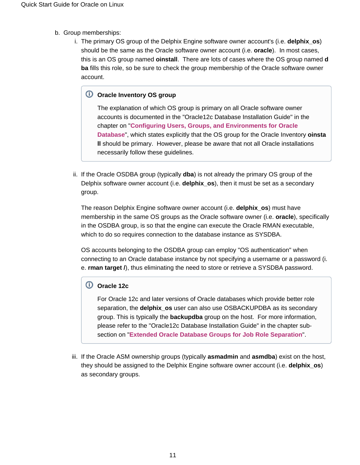- b. Group memberships:
	- i. The primary OS group of the Delphix Engine software owner account's (i.e. **delphix\_os**) should be the same as the Oracle software owner account (i.e. **oracle**). In most cases, this is an OS group named **oinstall**. There are lots of cases where the OS group named **d ba** fills this role, so be sure to check the group membership of the Oracle software owner account.

### **Oracle Inventory OS group**

The explanation of which OS group is primary on all Oracle software owner accounts is documented in the "Oracle12c Database Installation Guide" in the chapter on "**[Configuring Users, Groups, and Environments for Oracle](http://docs.oracle.com/database/121/LADBI/usr_grps.htm#LADBI7652)  [Database](http://docs.oracle.com/database/121/LADBI/usr_grps.htm#LADBI7652)**", which states explicitly that the OS group for the Oracle Inventory **oinsta ll** should be primary. However, please be aware that not all Oracle installations necessarily follow these guidelines.

ii. If the Oracle OSDBA group (typically **dba**) is not already the primary OS group of the Delphix software owner account (i.e. **delphix\_os**), then it must be set as a secondary group.

The reason Delphix Engine software owner account (i.e. **delphix\_os**) must have membership in the same OS groups as the Oracle software owner (i.e. **oracle**), specifically in the OSDBA group, is so that the engine can execute the Oracle RMAN executable, which to do so requires connection to the database instance as SYSDBA.

OS accounts belonging to the OSDBA group can employ "OS authentication" when connecting to an Oracle database instance by not specifying a username or a password (i. e. **rman target /**), thus eliminating the need to store or retrieve a SYSDBA password.

### **Oracle 12c**

For Oracle 12c and later versions of Oracle databases which provide better role separation, the **delphix\_os** user can also use OSBACKUPDBA as its secondary group. This is typically the **backupdba** group on the host. For more information, please refer to the "Oracle12c Database Installation Guide" in the chapter subsection on "**[Extended Oracle Database Groups for Job Role Separation](http://docs.oracle.com/database/121/LADBI/usr_grps.htm#BABHDBFJ)**".

iii. If the Oracle ASM ownership groups (typically **asmadmin** and **asmdba**) exist on the host, they should be assigned to the Delphix Engine software owner account (i.e. **delphix\_os**) as secondary groups.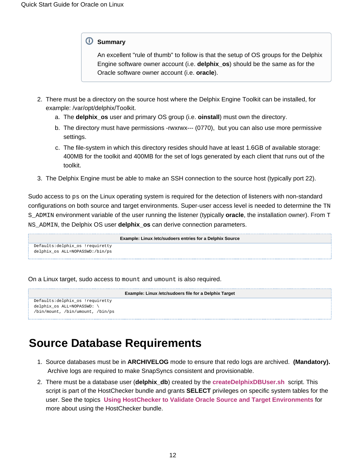#### **Summary**

An excellent "rule of thumb" to follow is that the setup of OS groups for the Delphix Engine software owner account (i.e. **delphix\_os**) should be the same as for the Oracle software owner account (i.e. **oracle**).

- 2. There must be a directory on the source host where the Delphix Engine Toolkit can be installed, for example: /var/opt/delphix/Toolkit.
	- a. The **delphix\_os** user and primary OS group (i.e. **oinstall**) must own the directory.
	- b. The directory must have permissions -rwxrwx--- (0770), but you can also use more permissive settings.
	- c. The file-system in which this directory resides should have at least 1.6GB of available storage: 400MB for the toolkit and 400MB for the set of logs generated by each client that runs out of the toolkit.
- 3. The Delphix Engine must be able to make an SSH connection to the source host (typically port 22).

Sudo access to ps on the Linux operating system is required for the detection of listeners with non-standard configurations on both source and target environments. Super-user access level is needed to determine the TN S\_ADMIN environment variable of the user running the listener (typically **oracle**, the installation owner). From T NS\_ADMIN, the Delphix OS user **delphix\_os** can derive connection parameters.

```
Example: Linux /etc/sudoers entries for a Delphix Source
Defaults:delphix_os !requiretty
delphix_os ALL=NOPASSWD:/bin/ps
```
On a Linux target, sudo access to mount and umount is also required.

```
Example: Linux /etc/sudoers file for a Delphix Target
Defaults:delphix_os !requiretty
delphix_os ALL=NOPASSWD: \ 
/bin/mount, /bin/umount, /bin/ps
```
## <span id="page-11-0"></span>**Source Database Requirements**

- 1. Source databases must be in **ARCHIVELOG** mode to ensure that redo logs are archived. **(Mandatory).**  Archive logs are required to make SnapSyncs consistent and provisionable.
- 2. There must be a database user (**delphix\_db**) created by the **[createDelphixDBUser.sh](https://docs.delphix.com/download/attachments/120930377/createDelphixDBUser.sh?version=1&modificationDate=1548354966484&api=v2)** script. This script is part of the HostChecker bundle and grants **SELECT** privileges on specific system tables for the user. See the topics **[Using HostChecker to Validate Oracle Source and Target Environments](https://docs.delphix.com/display/DOCS537/Using+HostChecker+to+Validate+Oracle+Source+and+Target+Environments)** for more about using the HostChecker bundle.

⋒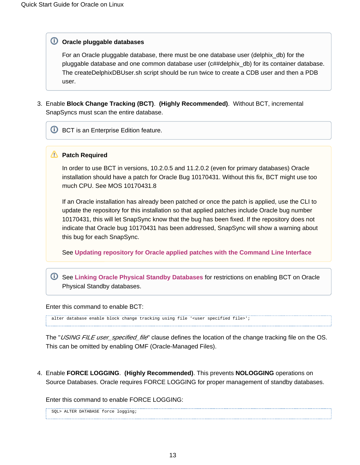#### **Oracle pluggable databases**

For an Oracle pluggable database, there must be one database user (delphix\_db) for the pluggable database and one common database user (c##delphix\_db) for its container database. The createDelphixDBUser.sh script should be run twice to create a CDB user and then a PDB user.

3. Enable **Block Change Tracking (BCT)**. **(Highly Recommended)**. Without BCT, incremental SnapSyncs must scan the entire database.

**U** BCT is an Enterprise Edition feature.

#### **Patch Required**

In order to use BCT in versions, 10.2.0.5 and 11.2.0.2 (even for primary databases) Oracle installation should have a patch for Oracle Bug 10170431. Without this fix, BCT might use too much CPU. See MOS 10170431.8

If an Oracle installation has already been patched or once the patch is applied, use the CLI to update the repository for this installation so that applied patches include Oracle bug number 10170431, this will let SnapSync know that the bug has been fixed. If the repository does not indicate that Oracle bug 10170431 has been addressed, SnapSync will show a warning about this bug for each SnapSync.

See **[Updating repository for Oracle applied patches with the Command Line Interface](https://docs.delphix.com/display/DOCS537/Linking+Oracle+Physical+Standby+Databases#LinkingOraclePhysicalStandbyDatabases-AppliedPatches)**

See **[Linking Oracle Physical Standby Databases](https://docs.delphix.com/display/DOCS537/Linking+Oracle+Physical+Standby+Databases)** for restrictions on enabling BCT on Oracle Physical Standby databases.

Enter this command to enable BCT:

alter database enable block change tracking using file '<user specified file>';

The "*USING FILE user\_specified\_file*" clause defines the location of the change tracking file on the OS. This can be omitted by enabling OMF (Oracle-Managed Files).

4. Enable **FORCE LOGGING**. **(Highly Recommended)**. This prevents **NOLOGGING** operations on Source Databases. Oracle requires FORCE LOGGING for proper management of standby databases.

Enter this command to enable FORCE LOGGING:

SOL> ALTER DATABASE force logging;

O)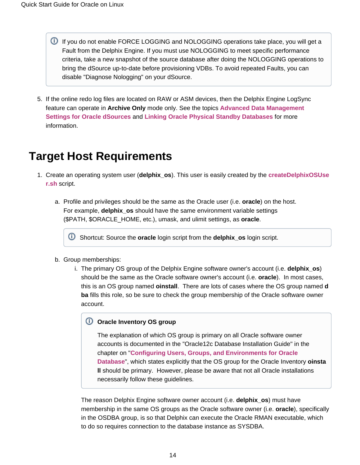- **U** If you do not enable FORCE LOGGING and NOLOGGING operations take place, you will get a Fault from the Delphix Engine. If you must use NOLOGGING to meet specific performance criteria, take a new snapshot of the source database after doing the NOLOGGING operations to bring the dSource up-to-date before provisioning VDBs. To avoid repeated Faults, you can disable "Diagnose Nologging" on your dSource.
- 5. If the online redo log files are located on RAW or ASM devices, then the Delphix Engine LogSync feature can operate in **Archive Only** mode only. See the topics **[Advanced Data Management](https://docs.delphix.com/display/DOCS537/Advanced+Data+Management+Settings+for+Oracle+dSources)  [Settings for Oracle dSources](https://docs.delphix.com/display/DOCS537/Advanced+Data+Management+Settings+for+Oracle+dSources)** and **[Linking Oracle Physical Standby Databases](https://docs.delphix.com/display/DOCS537/Linking+Oracle+Physical+Standby+Databases)** for more information.

# <span id="page-13-0"></span>**Target Host Requirements**

- 1. Create an operating system user (**delphix\_os**). This user is easily created by the **[createDelphixOSUse](https://docs.delphix.com/download/attachments/120930377/createDelphixOSUser.sh?version=1&modificationDate=1548354966461&api=v2) [r.sh](https://docs.delphix.com/download/attachments/120930377/createDelphixOSUser.sh?version=1&modificationDate=1548354966461&api=v2)** script.
	- a. Profile and privileges should be the same as the Oracle user (i.e. **oracle**) on the host. For example, **delphix\_os** should have the same environment variable settings (\$PATH, \$ORACLE\_HOME, etc.), umask, and ulimit settings, as **oracle**.

Shortcut: Source the **oracle** login script from the **delphix\_os** login script.

- b. Group memberships:
	- i. The primary OS group of the Delphix Engine software owner's account (i.e. **delphix\_os**) should be the same as the Oracle software owner's account (i.e. **oracle**). In most cases, this is an OS group named **oinstall**. There are lots of cases where the OS group named **d ba** fills this role, so be sure to check the group membership of the Oracle software owner account.

#### **Oracle Inventory OS group**

The explanation of which OS group is primary on all Oracle software owner accounts is documented in the "Oracle12c Database Installation Guide" in the chapter on "**[Configuring Users, Groups, and Environments for Oracle](http://docs.oracle.com/database/121/LADBI/usr_grps.htm#LADBI7652)  [Database](http://docs.oracle.com/database/121/LADBI/usr_grps.htm#LADBI7652)**", which states explicitly that the OS group for the Oracle Inventory **oinsta ll** should be primary. However, please be aware that not all Oracle installations necessarily follow these guidelines.

The reason Delphix Engine software owner account (i.e. **delphix\_os**) must have membership in the same OS groups as the Oracle software owner (i.e. **oracle**), specifically in the OSDBA group, is so that Delphix can execute the Oracle RMAN executable, which to do so requires connection to the database instance as SYSDBA.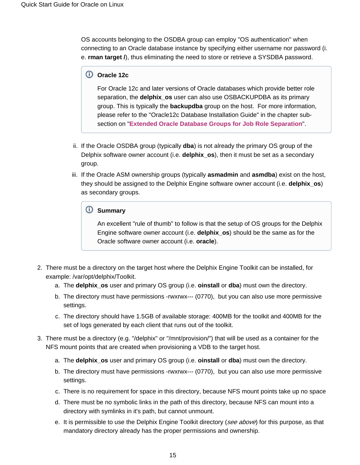OS accounts belonging to the OSDBA group can employ "OS authentication" when connecting to an Oracle database instance by specifying either username nor password (i. e. **rman target /**), thus eliminating the need to store or retrieve a SYSDBA password.

### **Oracle 12c**

For Oracle 12c and later versions of Oracle databases which provide better role separation, the **delphix\_os** user can also use OSBACKUPDBA as its primary group. This is typically the **backupdba** group on the host. For more information, please refer to the "Oracle12c Database Installation Guide" in the chapter subsection on "**[Extended Oracle Database Groups for Job Role Separation](http://docs.oracle.com/database/121/LADBI/usr_grps.htm#BABHDBFJ)**".

- ii. If the Oracle OSDBA group (typically **dba**) is not already the primary OS group of the Delphix software owner account (i.e. **delphix\_os**), then it must be set as a secondary group.
- iii. If the Oracle ASM ownership groups (typically **asmadmin** and **asmdba**) exist on the host, they should be assigned to the Delphix Engine software owner account (i.e. **delphix\_os**) as secondary groups.

### **Summary**

An excellent "rule of thumb" to follow is that the setup of OS groups for the Delphix Engine software owner account (i.e. **delphix\_os**) should be the same as for the Oracle software owner account (i.e. **oracle**).

- 2. There must be a directory on the target host where the Delphix Engine Toolkit can be installed, for example: /var/opt/delphix/Toolkit.
	- a. The **delphix\_os** user and primary OS group (i.e. **oinstall** or **dba**) must own the directory.
	- b. The directory must have permissions -rwxrwx--- (0770), but you can also use more permissive settings.
	- c. The directory should have 1.5GB of available storage: 400MB for the toolkit and 400MB for the set of logs generated by each client that runs out of the toolkit.
- 3. There must be a directory (e.g. "/delphix" or "/mnt/provision/") that will be used as a container for the NFS mount points that are created when provisioning a VDB to the target host.
	- a. The **delphix\_os** user and primary OS group (i.e. **oinstall** or **dba**) must own the directory.
	- b. The directory must have permissions -rwxrwx--- (0770), but you can also use more permissive settings.
	- c. There is no requirement for space in this directory, because NFS mount points take up no space
	- d. There must be no symbolic links in the path of this directory, because NFS can mount into a directory with symlinks in it's path, but cannot unmount.
	- e. It is permissible to use the Delphix Engine Toolkit directory (*see above*) for this purpose, as that mandatory directory already has the proper permissions and ownership.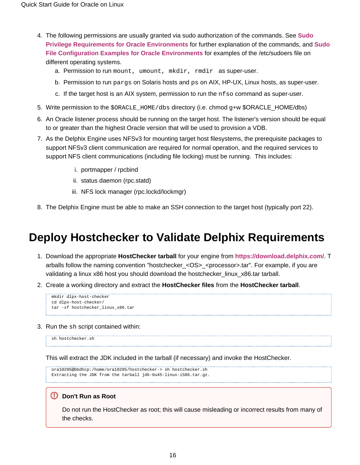- 4. The following permissions are usually granted via sudo authorization of the commands. See **[Sudo](https://docs.delphix.com/display/DOCS537/Sudo+Privilege+Requirements+for+Oracle+Environments)  [Privilege Requirements for Oracle Environments](https://docs.delphix.com/display/DOCS537/Sudo+Privilege+Requirements+for+Oracle+Environments)** for further explanation of the commands, and **[Sudo](https://docs.delphix.com/display/DOCS537/Sudo+File+Configuration+Examples+for+Oracle+Environments) [File Configuration Examples for Oracle Environments](https://docs.delphix.com/display/DOCS537/Sudo+File+Configuration+Examples+for+Oracle+Environments)** for examples of the /etc/sudoers file on different operating systems.
	- a. Permission to run mount, umount, mkdir, rmdir as super-user.
	- b. Permission to run pargs on Solaris hosts and ps on AIX, HP-UX, Linux hosts, as super-user.
	- c. If the target host is an AIX system, permission to run the nfso command as super-user.
- 5. Write permission to the \$ORACLE\_HOME/dbs directory (i.e. chmod g+w \$ORACLE\_HOME/dbs)
- 6. An Oracle listener process should be running on the target host. The listener's version should be equal to or greater than the highest Oracle version that will be used to provision a VDB.
- 7. As the Delphix Engine uses NFSv3 for mounting target host filesystems, the prerequisite packages to support NFSv3 client communication are required for normal operation, and the required services to support NFS client communications (including file locking) must be running. This includes:
	- i. portmapper / rpcbind
	- ii. status daemon (rpc.statd)
	- iii. NFS lock manager (rpc.lockd/lockmgr)
- 8. The Delphix Engine must be able to make an SSH connection to the target host (typically port 22).

## <span id="page-15-0"></span>**Deploy Hostchecker to Validate Delphix Requirements**

- 1. Download the appropriate **HostChecker tarball** for your engine from **<https://download.delphix.com/>**. T arballs follow the naming convention "hostchecker\_<OS>\_<processor>.tar". For example, if you are validating a linux x86 host you should download the hostchecker\_linux\_x86.tar tarball.
- 2. Create a working directory and extract the **HostChecker files** from the **HostChecker tarball**.

```
mkdir dlpx-host-checker
cd dlpx-host-checker/
tar -xf hostchecker_linux_x86.tar
```
3. Run the sh script contained within:

sh hostchecker sh

This will extract the JDK included in the tarball (if necessary) and invoke the HostChecker.

```
ora10205@bbdhcp:/home/ora10205/hostchecker-> sh hostchecker.sh
Extracting the JDK from the tarball jdk-6u45-linux-i586.tar.gz.
```
#### **Don't Run as Root**

⊗

Do not run the HostChecker as root; this will cause misleading or incorrect results from many of the checks.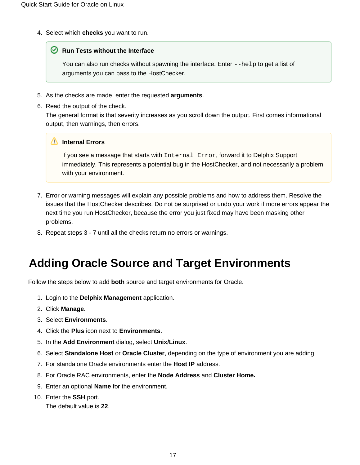4. Select which **checks** you want to run.

#### **■** Run Tests without the Interface

You can also run checks without spawning the interface. Enter --help to get a list of arguments you can pass to the HostChecker.

- 5. As the checks are made, enter the requested **arguments**.
- 6. Read the output of the check.

The general format is that severity increases as you scroll down the output. First comes informational output, then warnings, then errors.

#### **Internal Errors**

If you see a message that starts with Internal Error, forward it to Delphix Support immediately. This represents a potential bug in the HostChecker, and not necessarily a problem with your environment.

- 7. Error or warning messages will explain any possible problems and how to address them. Resolve the issues that the HostChecker describes. Do not be surprised or undo your work if more errors appear the next time you run HostChecker, because the error you just fixed may have been masking other problems.
- 8. Repeat steps 3 7 until all the checks return no errors or warnings.

# <span id="page-16-0"></span>**Adding Oracle Source and Target Environments**

Follow the steps below to add **both** source and target environments for Oracle.

- 1. Login to the **Delphix Management** application.
- 2. Click **Manage**.
- 3. Select **Environments**.
- 4. Click the **Plus** icon next to **Environments**.
- 5. In the **Add Environment** dialog, select **Unix/Linux**.
- 6. Select **Standalone Host** or **Oracle Cluster**, depending on the type of environment you are adding.
- 7. For standalone Oracle environments enter the **Host IP** address.
- 8. For Oracle RAC environments, enter the **Node Address** and **Cluster Home.**
- 9. Enter an optional **Name** for the environment.
- 10. Enter the **SSH** port.

The default value is **22**.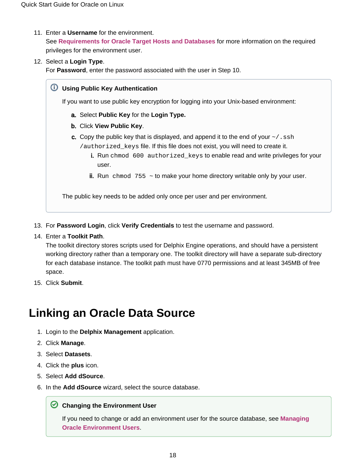- 11. Enter a **Username** for the environment. See **[Requirements for Oracle Target Hosts and Databases](https://docs.delphix.com/display/DOCS537/Requirements+for+Oracle+Target+Hosts+and+Databases)** for more information on the required privileges for the environment user.
- 12. Select a **Login Type**.

For **Password**, enter the password associated with the user in Step 10.

a. Select **Public Key** for the **Login Type.** b. Click **View Public Key**. c. Copy the public key that is displayed, and append it to the end of your  $\sim$  / . ssh i. Run chmod 600 authorized\_keys to enable read and write privileges for your ii. Run chmod  $755 \sim$  to make your home directory writable only by your user. **Using Public Key Authentication** If you want to use public key encryption for logging into your Unix-based environment: /authorized\_keys file. If this file does not exist, you will need to create it. user. The public key needs to be added only once per user and per environment.

- 13. For **Password Login**, click **Verify Credentials** to test the username and password.
- 14. Enter a **Toolkit Path**.

The toolkit directory stores scripts used for Delphix Engine operations, and should have a persistent working directory rather than a temporary one. The toolkit directory will have a separate sub-directory for each database instance. The toolkit path must have 0770 permissions and at least 345MB of free space.

15. Click **Submit**.

# <span id="page-17-0"></span>**Linking an Oracle Data Source**

- 1. Login to the **Delphix Management** application.
- 2. Click **Manage**.
- 3. Select **Datasets**.
- 4. Click the **plus** icon.
- 5. Select **Add dSource**.
- 6. In the **Add dSource** wizard, select the source database.

#### **C** Changing the Environment User

If you need to change or add an environment user for the source database, see **[Managing](https://docs.delphix.com/display/DOCS537/Managing+Oracle+Environment+Users)  [Oracle Environment Users](https://docs.delphix.com/display/DOCS537/Managing+Oracle+Environment+Users)**.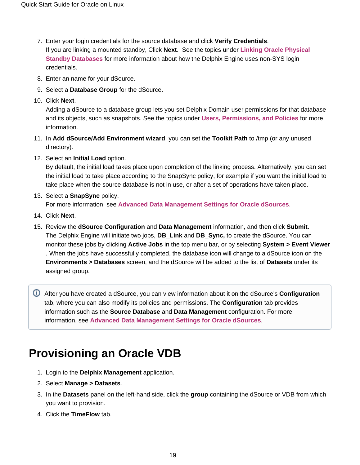- 7. Enter your login credentials for the source database and click **Verify Credentials**. If you are linking a mounted standby, Click **Next**. See the topics under **[Linking Oracle Physical](https://docs.delphix.com/display/DOCS537/Linking+Oracle+Physical+Standby+Databases)  [Standby Databases](https://docs.delphix.com/display/DOCS537/Linking+Oracle+Physical+Standby+Databases)** for more information about how the Delphix Engine uses non-SYS login credentials.
- 8. Enter an name for your dSource.
- 9. Select a **Database Group** for the dSource.
- 10. Click **Next**.

Adding a dSource to a database group lets you set Delphix Domain user permissions for that database and its objects, such as snapshots. See the topics under **[Users, Permissions, and Policies](https://docs.delphix.com/display/DOCS537/Users%2C+Permissions%2C+and+Policies)** for more information.

- 11. In **Add dSource/Add Environment wizard**, you can set the **Toolkit Path** to /tmp (or any unused directory).
- 12. Select an **Initial Load** option.

By default, the initial load takes place upon completion of the linking process. Alternatively, you can set the initial load to take place according to the SnapSync policy, for example if you want the initial load to take place when the source database is not in use, or after a set of operations have taken place.

#### 13. Select a **SnapSync** policy.

For more information, see **[Advanced Data Management Settings for Oracle dSources](https://docs.delphix.com/display/DOCS537/Advanced+Data+Management+Settings+for+Oracle+dSources)**.

- 14. Click **Next**.
- 15. Review the **dSource Configuration** and **Data Management** information, and then click **Submit**. The Delphix Engine will initiate two jobs, **DB\_Link** and **DB\_Sync,** to create the dSource. You can monitor these jobs by clicking **Active Jobs** in the top menu bar, or by selecting **System > Event Viewer** . When the jobs have successfully completed, the database icon will change to a dSource icon on the **Environments > Databases** screen, and the dSource will be added to the list of **Datasets** under its assigned group.

After you have created a dSource, you can view information about it on the dSource's **Configuration** tab, where you can also modify its policies and permissions. The **Configuration** tab provides information such as the **Source Database** and **Data Management** configuration. For more information, see **[Advanced Data Management Settings for Oracle dSources](https://docs.delphix.com/display/DOCS537/Advanced+Data+Management+Settings+for+Oracle+dSources)**.

# <span id="page-18-0"></span>**Provisioning an Oracle VDB**

- 1. Login to the **Delphix Management** application.
- 2. Select **Manage > Datasets**.
- 3. In the **Datasets** panel on the left-hand side, click the **group** containing the dSource or VDB from which you want to provision.
- 4. Click the **TimeFlow** tab.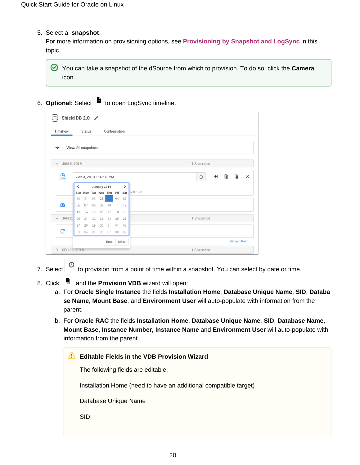5. Select a **snapshot**.

For more information on provisioning options, see **Provisioning by Snapshot and LogSync** in this topic.

You can take a snapshot of the dSource from which to provision. To do so, click the **Camera** icon.

6. **Optional:** Select ■ to open LogSync timeline.

| Shield DB 2.0                 |                        |        |    |                                         |               |    |                      |                                                        |
|-------------------------------|------------------------|--------|----|-----------------------------------------|---------------|----|----------------------|--------------------------------------------------------|
| Timeflow                      |                        | Status |    |                                         | Configuration |    |                      |                                                        |
|                               | View: All snapshots    |        |    |                                         |               |    |                      |                                                        |
| JAN 3, 2019<br>$\checkmark$   |                        |        |    |                                         |               |    |                      | 1 Snapshot                                             |
| இ                             | Jan 3, 2019 1:37:07 PM |        |    |                                         |               |    |                      | G.<br>喕<br>$\blacktriangleleft$<br>$\times$<br>$\odot$ |
|                               | ≺                      |        |    | January 2019<br>Sun Mon Tue Wed Thu Fri |               |    | $\rightarrow$<br>Sat | 37:07 PM                                               |
|                               | 30                     | 31     | 01 | 02                                      |               | 04 | 05                   |                                                        |
| $\bullet$                     | 06                     | 07     | 08 | 09                                      | 10            | 11 | 12                   |                                                        |
|                               | 13                     | 14     | 15 | 16                                      | 17            | 18 | 19                   |                                                        |
| $\vee$ JAN 2,                 | 20                     | 21     | 22 | 23                                      | 24            | 25 | 26                   | 1 Snapshot                                             |
|                               | 27                     | 28     | 29 | 30                                      | 31            | 01 | 02                   |                                                        |
| G                             | 03                     | 04     | 05 | 06                                      | 07            | 08 | 09                   |                                                        |
|                               |                        |        |    |                                         | Time          |    | Close                | <b>Refresh Point</b>                                   |
| DEC 30, 2018<br>$\rightarrow$ |                        |        |    |                                         |               |    |                      | 1 Snapshot                                             |

- 7. Select <sup>O</sup> to provision from a point of time within a snapshot. You can select by date or time.
- 8. Click  $\Box$  and the **Provision VDB** wizard will open:
	- a. For **Oracle Single Instance** the fields **Installation Home**, **Database Unique Name**, **SID**, **Databa se Name**, **Mount Base**, and **Environment User** will auto-populate with information from the parent.
	- b. For **Oracle RAC** the fields **Installation Home**, **Database Unique Name**, **SID**, **Database Name**, **Mount Base**, **Instance Number, Instance Name** and **Environment User** will auto-populate with information from the parent.

| M | <b>Editable Fields in the VDB Provision Wizard</b>               |
|---|------------------------------------------------------------------|
|   | The following fields are editable:                               |
|   | Installation Home (need to have an additional compatible target) |
|   | Database Unique Name                                             |
|   | <b>SID</b>                                                       |
|   |                                                                  |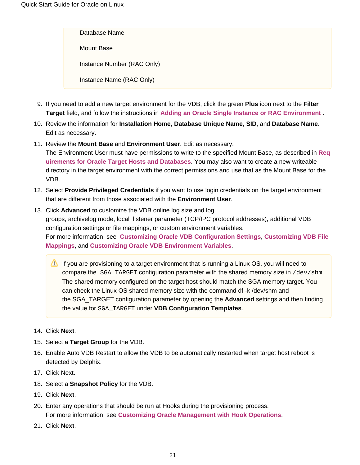Database Name Mount Base Instance Number (RAC Only) Instance Name (RAC Only)

- 9. If you need to add a new target environment for the VDB, click the green **Plus** icon next to the **Filter Target** field, and follow the instructions in **[Adding an Oracle Single Instance or RAC Environment](https://docs.delphix.com/display/DOCS537/Adding+an+Oracle+Single+Instance+or+RAC+Environment)** .
- 10. Review the information for **Installation Home**, **Database Unique Name**, **SID**, and **Database Name**. Edit as necessary.
- 11. Review the **Mount Base** and **Environment User**. Edit as necessary. The Environment User must have permissions to write to the specified Mount Base, as described in **[Req](https://docs.delphix.com/display/DOCS537/Requirements+for+Oracle+Target+Hosts+and+Databases) [uirements for Oracle Target Hosts and Databases](https://docs.delphix.com/display/DOCS537/Requirements+for+Oracle+Target+Hosts+and+Databases)**. You may also want to create a new writeable directory in the target environment with the correct permissions and use that as the Mount Base for the VDB.
- 12. Select **Provide Privileged Credentials** if you want to use login credentials on the target environment that are different from those associated with the **Environment User**.
- 13. Click **Advanced** to customize the VDB online log size and log groups, archivelog mode, local\_listener parameter (TCP/IPC protocol addresses), additional VDB configuration settings or file mappings, or custom environment variables. For more information, see **[Customizing Oracle VDB Configuration Settings](https://docs.delphix.com/display/DOCS537/Customizing+Oracle+VDB+Configuration+Settings)**, **[Customizing VDB File](https://docs.delphix.com/display/DOCS537/Customizing+VDB+File+Mappings)  [Mappings](https://docs.delphix.com/display/DOCS537/Customizing+VDB+File+Mappings)**, and **[Customizing Oracle VDB Environment Variables](https://docs.delphix.com/display/DOCS537/Customizing+Oracle+VDB+Environment+Variables)**.
	- If you are provisioning to a target environment that is running a Linux OS, you will need to compare the SGA\_TARGET configuration parameter with the shared memory size in /dev/shm. The shared memory configured on the target host should match the SGA memory target. You can check the Linux OS shared memory size with the command df -k /dev/shm and the SGA\_TARGET configuration parameter by opening the **Advanced** settings and then finding the value for SGA\_TARGET under **VDB Configuration Templates**.
- 14. Click **Next**.
- 15. Select a **Target Group** for the VDB.
- 16. Enable Auto VDB Restart to allow the VDB to be automatically restarted when target host reboot is detected by Delphix.
- 17. Click Next.
- 18. Select a **Snapshot Policy** for the VDB.
- 19. Click **Next**.
- 20. Enter any operations that should be run at Hooks during the provisioning process. For more information, see **[Customizing Oracle Management with Hook Operations](https://docs.delphix.com/display/DOCS537/Customizing+Oracle+Management+with+Hook+Operations)**.
- 21. Click **Next**.